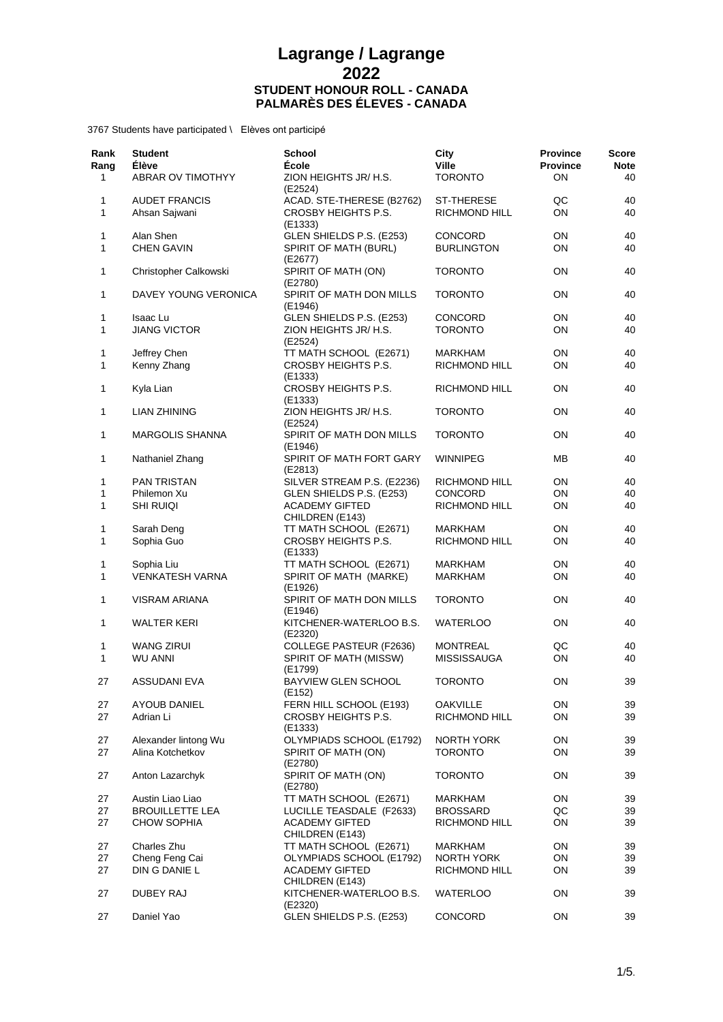| Rank<br>Rang<br>1 | <b>Student</b><br><b>Élève</b><br>ABRAR OV TIMOTHYY | <b>School</b><br><b>École</b><br>ZION HEIGHTS JR/ H.S.      | City<br><b>Ville</b><br><b>TORONTO</b> | <b>Province</b><br><b>Province</b><br>ON | Score<br><b>Note</b><br>40 |
|-------------------|-----------------------------------------------------|-------------------------------------------------------------|----------------------------------------|------------------------------------------|----------------------------|
|                   |                                                     | (E2524)                                                     |                                        |                                          |                            |
| 1<br>1            | <b>AUDET FRANCIS</b><br>Ahsan Sajwani               | ACAD. STE-THERESE (B2762)<br>CROSBY HEIGHTS P.S.<br>(E1333) | ST-THERESE<br>RICHMOND HILL            | QC<br>ON                                 | 40<br>40                   |
| 1                 | Alan Shen                                           | GLEN SHIELDS P.S. (E253)                                    | <b>CONCORD</b>                         | ON                                       | 40                         |
| 1                 | <b>CHEN GAVIN</b>                                   | SPIRIT OF MATH (BURL)<br>(E2677)                            | <b>BURLINGTON</b>                      | ON                                       | 40                         |
| 1                 | Christopher Calkowski                               | SPIRIT OF MATH (ON)<br>(E2780)                              | <b>TORONTO</b>                         | ON                                       | 40                         |
| 1                 | DAVEY YOUNG VERONICA                                | SPIRIT OF MATH DON MILLS<br>(E1946)                         | <b>TORONTO</b>                         | ON                                       | 40                         |
| 1                 | Isaac Lu                                            | GLEN SHIELDS P.S. (E253)                                    | <b>CONCORD</b>                         | ON                                       | 40                         |
| 1                 | <b>JIANG VICTOR</b>                                 | ZION HEIGHTS JR/ H.S.<br>(E2524)                            | <b>TORONTO</b>                         | ON                                       | 40                         |
| 1                 | Jeffrey Chen                                        | TT MATH SCHOOL (E2671)                                      | MARKHAM                                | OΝ                                       | 40                         |
| 1                 | Kenny Zhang                                         | CROSBY HEIGHTS P.S.<br>(E1333)                              | <b>RICHMOND HILL</b>                   | ON                                       | 40                         |
| 1                 | Kyla Lian                                           | CROSBY HEIGHTS P.S.<br>(E1333)                              | RICHMOND HILL                          | ON                                       | 40                         |
| 1                 | <b>LIAN ZHINING</b>                                 | ZION HEIGHTS JR/ H.S.<br>(E2524)                            | <b>TORONTO</b>                         | ON                                       | 40                         |
| 1                 | <b>MARGOLIS SHANNA</b>                              | SPIRIT OF MATH DON MILLS<br>(E1946)                         | <b>TORONTO</b>                         | ON                                       | 40                         |
| 1                 | Nathaniel Zhang                                     | SPIRIT OF MATH FORT GARY<br>(E2813)                         | WINNIPEG                               | MВ                                       | 40                         |
| 1                 | <b>PAN TRISTAN</b>                                  | SILVER STREAM P.S. (E2236)                                  | RICHMOND HILL                          | ON                                       | 40                         |
| 1                 | Philemon Xu                                         | GLEN SHIELDS P.S. (E253)                                    | <b>CONCORD</b>                         | ON                                       | 40                         |
| 1                 | <b>SHI RUIQI</b>                                    | <b>ACADEMY GIFTED</b><br>CHILDREN (E143)                    | RICHMOND HILL                          | ON                                       | 40                         |
| 1                 | Sarah Deng                                          | TT MATH SCHOOL (E2671)                                      | MARKHAM                                | ON                                       | 40                         |
| 1                 | Sophia Guo                                          | CROSBY HEIGHTS P.S.<br>(E1333)                              | <b>RICHMOND HILL</b>                   | ON                                       | 40                         |
| 1                 | Sophia Liu                                          | TT MATH SCHOOL (E2671)                                      | MARKHAM                                | OΝ                                       | 40                         |
| 1                 | <b>VENKATESH VARNA</b>                              | SPIRIT OF MATH (MARKE)<br>(E1926)                           | MARKHAM                                | ON                                       | 40                         |
| 1                 | VISRAM ARIANA                                       | SPIRIT OF MATH DON MILLS<br>(E1946)                         | <b>TORONTO</b>                         | ON                                       | 40                         |
| 1                 | <b>WALTER KERI</b>                                  | KITCHENER-WATERLOO B.S.<br>(E2320)                          | <b>WATERLOO</b>                        | ON                                       | 40                         |
| 1                 | <b>WANG ZIRUI</b>                                   | COLLEGE PASTEUR (F2636)                                     | <b>MONTREAL</b>                        | QC                                       | 40                         |
| 1                 | <b>WU ANNI</b>                                      | SPIRIT OF MATH (MISSW)                                      | <b>MISSISSAUGA</b>                     | ΟN                                       | 40                         |
| 27                | ASSUDANI EVA                                        | (E1799)<br>BAYVIEW GLEN SCHOOL                              | <b>TORONTO</b>                         | ON                                       | 39                         |
|                   |                                                     | (E152)                                                      |                                        |                                          |                            |
| 27                | <b>AYOUB DANIEL</b>                                 | FERN HILL SCHOOL (E193)                                     | <b>OAKVILLE</b>                        | ON                                       | 39                         |
| 27                | Adrian Li                                           | CROSBY HEIGHTS P.S.<br>(E1333)                              | RICHMOND HILL                          | ON                                       | 39                         |
| 27                | Alexander lintong Wu                                | OLYMPIADS SCHOOL (E1792)                                    | <b>NORTH YORK</b>                      | ON                                       | 39                         |
| 27                | Alina Kotchetkov                                    | SPIRIT OF MATH (ON)<br>(E2780)                              | <b>TORONTO</b>                         | ON                                       | 39                         |
| 27                | Anton Lazarchyk                                     | SPIRIT OF MATH (ON)<br>(E2780)                              | <b>TORONTO</b>                         | ON                                       | 39                         |
| 27                | Austin Liao Liao                                    | TT MATH SCHOOL (E2671)                                      | MARKHAM                                | ON                                       | 39                         |
| 27                | <b>BROUILLETTE LEA</b>                              | LUCILLE TEASDALE (F2633)                                    | <b>BROSSARD</b>                        | QC                                       | 39                         |
| 27                | <b>CHOW SOPHIA</b>                                  | <b>ACADEMY GIFTED</b><br>CHILDREN (E143)                    | <b>RICHMOND HILL</b>                   | ON                                       | 39                         |
| 27                | Charles Zhu                                         | TT MATH SCHOOL (E2671)                                      | MARKHAM                                | ON                                       | 39                         |
| 27                | Cheng Feng Cai                                      | OLYMPIADS SCHOOL (E1792)                                    | NORTH YORK                             | ON                                       | 39                         |
| 27                | DIN G DANIE L                                       | <b>ACADEMY GIFTED</b><br>CHILDREN (E143)                    | RICHMOND HILL                          | ON                                       | 39                         |
| 27                | <b>DUBEY RAJ</b>                                    | KITCHENER-WATERLOO B.S.<br>(E2320)                          | <b>WATERLOO</b>                        | ON                                       | 39                         |
| 27                | Daniel Yao                                          | GLEN SHIELDS P.S. (E253)                                    | CONCORD                                | ON                                       | 39                         |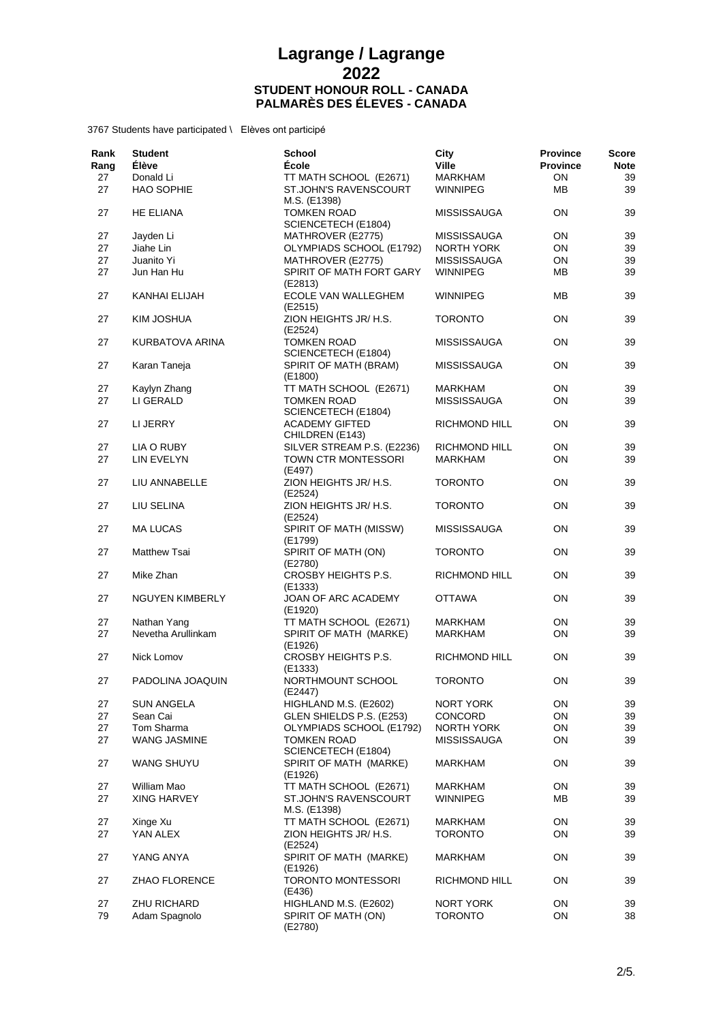| Rank<br>Rang | <b>Student</b><br><b>Élève</b> | <b>School</b><br><b>École</b>                            | City<br><b>Ville</b> | <b>Province</b><br><b>Province</b> | Score<br><b>Note</b> |
|--------------|--------------------------------|----------------------------------------------------------|----------------------|------------------------------------|----------------------|
| 27           | Donald Li                      | TT MATH SCHOOL (E2671)                                   | <b>MARKHAM</b>       | ON                                 | 39                   |
| 27           | <b>HAO SOPHIE</b>              | ST.JOHN'S RAVENSCOURT<br>M.S. (E1398)                    | <b>WINNIPEG</b>      | MВ                                 | 39                   |
| 27           | <b>HE ELIANA</b>               | <b>TOMKEN ROAD</b><br>SCIENCETECH (E1804)                | <b>MISSISSAUGA</b>   | ON                                 | 39                   |
| 27           | Jayden Li                      | MATHROVER (E2775)                                        | <b>MISSISSAUGA</b>   | ON                                 | 39                   |
| 27           | Jiahe Lin                      | OLYMPIADS SCHOOL (E1792)                                 | NORTH YORK           | ON                                 | 39                   |
| 27           | Juanito Yi                     | MATHROVER (E2775)                                        | <b>MISSISSAUGA</b>   | ON                                 | 39                   |
| 27           | Jun Han Hu                     | SPIRIT OF MATH FORT GARY<br>(E2813)                      | <b>WINNIPEG</b>      | MВ                                 | 39                   |
| 27           | KANHAI ELIJAH                  | ECOLE VAN WALLEGHEM<br>(E2515)                           | WINNIPEG             | ΜВ                                 | 39                   |
| 27           | KIM JOSHUA                     | ZION HEIGHTS JR/ H.S.<br>(E2524)                         | <b>TORONTO</b>       | ON                                 | 39                   |
| 27           | KURBATOVA ARINA                | <b>TOMKEN ROAD</b><br>SCIENCETECH (E1804)                | <b>MISSISSAUGA</b>   | OΝ                                 | 39                   |
| 27           | Karan Taneja                   | SPIRIT OF MATH (BRAM)<br>(E1800)                         | <b>MISSISSAUGA</b>   | ON                                 | 39                   |
| 27           | Kaylyn Zhang                   | TT MATH SCHOOL (E2671)                                   | <b>MARKHAM</b>       | ON                                 | 39                   |
| 27           | LI GERALD                      | <b>TOMKEN ROAD</b>                                       | <b>MISSISSAUGA</b>   | ON                                 | 39                   |
|              |                                | SCIENCETECH (E1804)                                      |                      |                                    |                      |
| 27           | LI JERRY                       | <b>ACADEMY GIFTED</b><br>CHILDREN (E143)                 | RICHMOND HILL        | OΝ                                 | 39                   |
| 27           | LIA O RUBY                     | SILVER STREAM P.S. (E2236)                               | <b>RICHMOND HILL</b> | ON                                 | 39                   |
| 27           | LIN EVELYN                     | TOWN CTR MONTESSORI<br>(E497)                            | <b>MARKHAM</b>       | ON                                 | 39                   |
| 27           | LIU ANNABELLE                  | ZION HEIGHTS JR/ H.S.<br>(E2524)                         | <b>TORONTO</b>       | OΝ                                 | 39                   |
| 27           | LIU SELINA                     | ZION HEIGHTS JR/ H.S.<br>(E2524)                         | <b>TORONTO</b>       | ON                                 | 39                   |
| 27           | <b>MA LUCAS</b>                | SPIRIT OF MATH (MISSW)<br>(E1799)                        | <b>MISSISSAUGA</b>   | ON                                 | 39                   |
| 27           | <b>Matthew Tsai</b>            | SPIRIT OF MATH (ON)<br>(E2780)                           | <b>TORONTO</b>       | ON                                 | 39                   |
| 27           | Mike Zhan                      | CROSBY HEIGHTS P.S.<br>(E1333)                           | RICHMOND HILL        | OΝ                                 | 39                   |
| 27           | <b>NGUYEN KIMBERLY</b>         | JOAN OF ARC ACADEMY<br>(E1920)                           | <b>OTTAWA</b>        | ON                                 | 39                   |
| 27           | Nathan Yang                    | TT MATH SCHOOL (E2671)                                   | MARKHAM              | ON                                 | 39                   |
| 27           | Nevetha Arullinkam             | SPIRIT OF MATH (MARKE)<br>(E1926)                        | <b>MARKHAM</b>       | ON                                 | 39                   |
| 27           | Nick Lomov                     | CROSBY HEIGHTS P.S.<br>(E1333)                           | <b>RICHMOND HILL</b> | ON                                 | 39                   |
| 27           | PADOLINA JOAQUIN               | NORTHMOUNT SCHOOL<br>(E2447)                             | <b>TORONTO</b>       | ON                                 | 39                   |
| 27           | SUN ANGELA                     | HIGHLAND M.S. (E2602)                                    | NORT YORK            | ON                                 | 39                   |
| 27           | Sean Cai                       | GLEN SHIELDS P.S. (E253)                                 | <b>CONCORD</b>       | ON                                 | 39                   |
| 27           | Tom Sharma                     | OLYMPIADS SCHOOL (E1792)                                 | NORTH YORK           | ON                                 | 39                   |
| 27           | WANG JASMINE                   | <b>TOMKEN ROAD</b>                                       | <b>MISSISSAUGA</b>   | ON                                 | 39                   |
| 27           | <b>WANG SHUYU</b>              | SCIENCETECH (E1804)<br>SPIRIT OF MATH (MARKE)<br>(E1926) | <b>MARKHAM</b>       | ON                                 | 39                   |
| 27           | William Mao                    | TT MATH SCHOOL (E2671)                                   | MARKHAM              | ON                                 | 39                   |
| 27           | XING HARVEY                    | ST.JOHN'S RAVENSCOURT                                    | WINNIPEG             | ΜВ                                 | 39                   |
|              |                                | M.S. (E1398)                                             |                      |                                    |                      |
| 27           | Xinge Xu                       | TT MATH SCHOOL (E2671)                                   | MARKHAM              | ON                                 | 39                   |
| 27           | YAN ALEX                       | ZION HEIGHTS JR/ H.S.<br>(E2524)                         | <b>TORONTO</b>       | ON                                 | 39                   |
| 27           | YANG ANYA                      | SPIRIT OF MATH (MARKE)<br>(E1926)                        | MARKHAM              | ON                                 | 39                   |
| 27           | <b>ZHAO FLORENCE</b>           | <b>TORONTO MONTESSORI</b><br>(E436)                      | RICHMOND HILL        | ON                                 | 39                   |
| 27           | ZHU RICHARD                    | HIGHLAND M.S. (E2602)                                    | NORT YORK            | ON                                 | 39                   |
| 79           | Adam Spagnolo                  | SPIRIT OF MATH (ON)<br>(E2780)                           | <b>TORONTO</b>       | ON                                 | 38                   |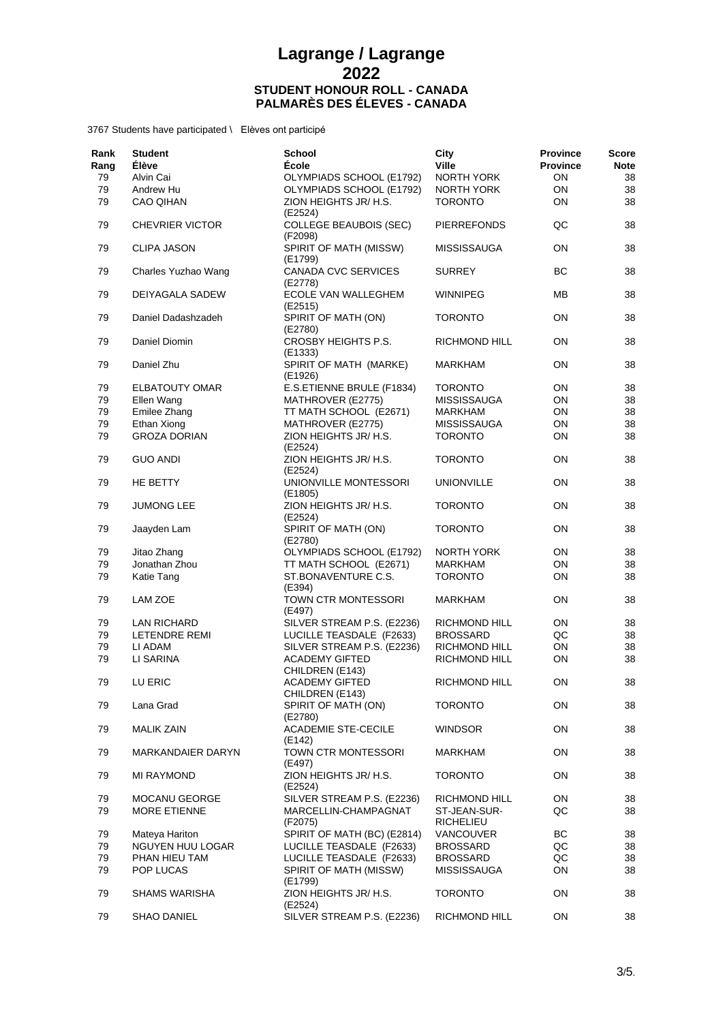| Rank<br>Rang | <b>Student</b><br><b>Élève</b> | <b>School</b><br><b>École</b>            | City<br><b>Ville</b>      | <b>Province</b><br><b>Province</b> | Score<br><b>Note</b> |
|--------------|--------------------------------|------------------------------------------|---------------------------|------------------------------------|----------------------|
| 79           | Alvin Cai                      | OLYMPIADS SCHOOL (E1792)                 | NORTH YORK                | OΝ                                 | 38                   |
| 79           | Andrew Hu                      | OLYMPIADS SCHOOL (E1792)                 | NORTH YORK                | ON                                 | 38                   |
| 79           | <b>CAO QIHAN</b>               | ZION HEIGHTS JR/ H.S.<br>(E2524)         | <b>TORONTO</b>            | ON                                 | 38                   |
| 79           | <b>CHEVRIER VICTOR</b>         | <b>COLLEGE BEAUBOIS (SEC)</b><br>(F2098) | <b>PIERREFONDS</b>        | QC                                 | 38                   |
| 79           | <b>CLIPA JASON</b>             | SPIRIT OF MATH (MISSW)<br>(E1799)        | <b>MISSISSAUGA</b>        | ON                                 | 38                   |
| 79           | Charles Yuzhao Wang            | CANADA CVC SERVICES<br>(E2778)           | <b>SURREY</b>             | BC                                 | 38                   |
| 79           | DEIYAGALA SADEW                | ECOLE VAN WALLEGHEM<br>(E2515)           | <b>WINNIPEG</b>           | MВ                                 | 38                   |
| 79           | Daniel Dadashzadeh             | SPIRIT OF MATH (ON)<br>(E2780)           | <b>TORONTO</b>            | ON                                 | 38                   |
| 79           | Daniel Diomin                  | CROSBY HEIGHTS P.S.<br>(E1333)           | RICHMOND HILL             | OΝ                                 | 38                   |
| 79           | Daniel Zhu                     | SPIRIT OF MATH (MARKE)<br>(E1926)        | MARKHAM                   | ON                                 | 38                   |
| 79           | <b>ELBATOUTY OMAR</b>          | E.S.ETIENNE BRULE (F1834)                | <b>TORONTO</b>            | ON                                 | 38                   |
| 79           | Ellen Wang                     | MATHROVER (E2775)                        | <b>MISSISSAUGA</b>        | ON                                 | 38                   |
| 79           | Emilee Zhang                   | TT MATH SCHOOL (E2671)                   | MARKHAM                   | ON                                 | 38                   |
| 79           | Ethan Xiong                    | MATHROVER (E2775)                        | <b>MISSISSAUGA</b>        | ON                                 | 38                   |
| 79           | <b>GROZA DORIAN</b>            | ZION HEIGHTS JR/ H.S.<br>(E2524)         | <b>TORONTO</b>            | ON                                 | 38                   |
| 79           | <b>GUO ANDI</b>                | ZION HEIGHTS JR/ H.S.<br>(E2524)         | <b>TORONTO</b>            | ON                                 | 38                   |
| 79           | HE BETTY                       | UNIONVILLE MONTESSORI<br>(E1805)         | <b>UNIONVILLE</b>         | ON                                 | 38                   |
| 79           | <b>JUMONG LEE</b>              | ZION HEIGHTS JR/ H.S.<br>(E2524)         | <b>TORONTO</b>            | ON                                 | 38                   |
| 79           | Jaayden Lam                    | SPIRIT OF MATH (ON)<br>(E2780)           | <b>TORONTO</b>            | ON                                 | 38                   |
| 79           | Jitao Zhang                    | OLYMPIADS SCHOOL (E1792)                 | <b>NORTH YORK</b>         | ON                                 | 38                   |
| 79           | Jonathan Zhou                  | TT MATH SCHOOL (E2671)                   | <b>MARKHAM</b>            | ON                                 | 38                   |
| 79           | Katie Tang                     | ST.BONAVENTURE C.S.<br>(E394)            | <b>TORONTO</b>            | ON                                 | 38                   |
| 79           | LAM ZOE                        | TOWN CTR MONTESSORI<br>(E497)            | <b>MARKHAM</b>            | OΝ                                 | 38                   |
| 79           | <b>LAN RICHARD</b>             | SILVER STREAM P.S. (E2236)               | RICHMOND HILL             | ON                                 | 38                   |
| 79           | LETENDRE REMI                  | LUCILLE TEASDALE (F2633)                 | <b>BROSSARD</b>           | QC                                 | 38                   |
| 79           | LI ADAM                        | SILVER STREAM P.S. (E2236)               | RICHMOND HILL             | ON                                 | 38                   |
| 79           | LI SARINA                      | <b>ACADEMY GIFTED</b><br>CHILDREN (E143) | RICHMOND HILL             | ON                                 | 38                   |
| 79           | LU ERIC                        | <b>ACADEMY GIFTED</b><br>CHILDREN (E143) | <b>RICHMOND HILL</b>      | OΝ                                 | 38                   |
| 79           | Lana Grad                      | SPIRIT OF MATH (ON)<br>(E2780)           | TORONTO                   | ON                                 | 38                   |
| 79           | <b>MALIK ZAIN</b>              | <b>ACADEMIE STE-CECILE</b><br>(E142)     | <b>WINDSOR</b>            | ON                                 | 38                   |
| 79           | MARKANDAIER DARYN              | TOWN CTR MONTESSORI<br>(E497)            | MARKHAM                   | ON                                 | 38                   |
| 79           | MI RAYMOND                     | ZION HEIGHTS JR/ H.S.<br>(E2524)         | <b>TORONTO</b>            | ON                                 | 38                   |
| 79           | <b>MOCANU GEORGE</b>           | SILVER STREAM P.S. (E2236)               | RICHMOND HILL             | ON                                 | 38                   |
| 79           | MORE ETIENNE                   | MARCELLIN-CHAMPAGNAT<br>(F2075)          | ST-JEAN-SUR-<br>RICHELIEU | QC                                 | 38                   |
| 79           | Mateya Hariton                 | SPIRIT OF MATH (BC) (E2814)              | <b>VANCOUVER</b>          | BС                                 | 38                   |
| 79           | NGUYEN HUU LOGAR               | LUCILLE TEASDALE (F2633)                 | <b>BROSSARD</b>           | QC                                 | 38                   |
| 79           | PHAN HIEU TAM                  | LUCILLE TEASDALE (F2633)                 | BROSSARD                  | QC                                 | 38                   |
| 79           | POP LUCAS                      | SPIRIT OF MATH (MISSW)<br>(E1799)        | <b>MISSISSAUGA</b>        | ON                                 | 38                   |
| 79           | <b>SHAMS WARISHA</b>           | ZION HEIGHTS JR/ H.S.<br>(E2524)         | <b>TORONTO</b>            | ON                                 | 38                   |
| 79           | SHAO DANIEL                    | SILVER STREAM P.S. (E2236)               | RICHMOND HILL             | ON                                 | 38                   |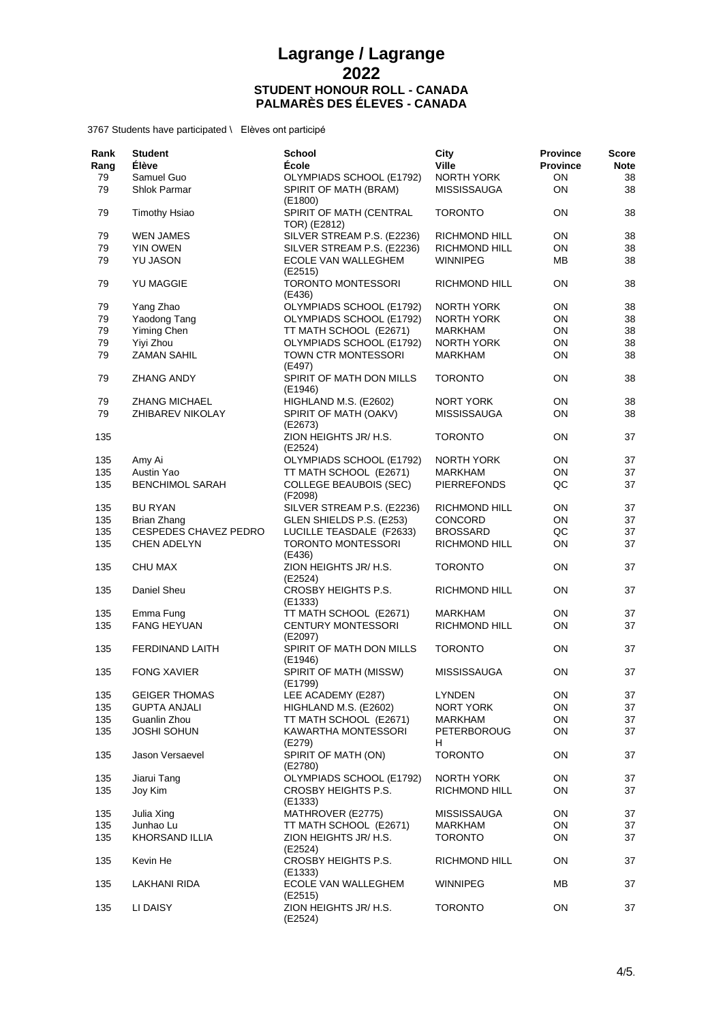| Rank<br>Rang | <b>Student</b><br><b>Élève</b> | School<br>École                                   | City<br><b>Ville</b>                    | <b>Province</b><br><b>Province</b> | <b>Score</b><br><b>Note</b> |
|--------------|--------------------------------|---------------------------------------------------|-----------------------------------------|------------------------------------|-----------------------------|
| 79<br>79     | Samuel Guo<br>Shlok Parmar     | OLYMPIADS SCHOOL (E1792)<br>SPIRIT OF MATH (BRAM) | <b>NORTH YORK</b><br><b>MISSISSAUGA</b> | ON<br>ON                           | 38<br>38                    |
|              |                                | (E1800)                                           |                                         |                                    |                             |
| 79           | <b>Timothy Hsiao</b>           | SPIRIT OF MATH (CENTRAL<br>TOR) (E2812)           | <b>TORONTO</b>                          | ON                                 | 38                          |
| 79           | <b>WEN JAMES</b>               | SILVER STREAM P.S. (E2236)                        | RICHMOND HILL                           | ON                                 | 38                          |
| 79           | YIN OWEN                       | SILVER STREAM P.S. (E2236)                        | RICHMOND HILL                           | ON                                 | 38                          |
| 79           | <b>YU JASON</b>                | ECOLE VAN WALLEGHEM<br>(E2515)                    | <b>WINNIPEG</b>                         | <b>MB</b>                          | 38                          |
| 79           | <b>YU MAGGIE</b>               | <b>TORONTO MONTESSORI</b><br>(E436)               | <b>RICHMOND HILL</b>                    | ON                                 | 38                          |
| 79           | Yang Zhao                      | OLYMPIADS SCHOOL (E1792)                          | NORTH YORK                              | ON                                 | 38                          |
| 79           | Yaodong Tang                   | OLYMPIADS SCHOOL (E1792)                          | NORTH YORK                              | ON                                 | 38                          |
| 79           | Yiming Chen                    | TT MATH SCHOOL (E2671)                            | <b>MARKHAM</b>                          | ON                                 | 38                          |
| 79           | Yiyi Zhou                      | OLYMPIADS SCHOOL (E1792)                          | <b>NORTH YORK</b>                       | ON                                 | 38                          |
| 79           | <b>ZAMAN SAHIL</b>             | TOWN CTR MONTESSORI<br>(E497)                     | <b>MARKHAM</b>                          | ON                                 | 38                          |
| 79           | <b>ZHANG ANDY</b>              | SPIRIT OF MATH DON MILLS<br>(E1946)               | <b>TORONTO</b>                          | <b>ON</b>                          | 38                          |
| 79           | <b>ZHANG MICHAEL</b>           | HIGHLAND M.S. (E2602)                             | NORT YORK                               | ON                                 | 38                          |
| 79           | ZHIBAREV NIKOLAY               | SPIRIT OF MATH (OAKV)<br>(E2673)                  | MISSISSAUGA                             | ON                                 | 38                          |
| 135          |                                | ZION HEIGHTS JR/ H.S.<br>(E2524)                  | <b>TORONTO</b>                          | <b>ON</b>                          | 37                          |
| 135          | Amy Ai                         | OLYMPIADS SCHOOL (E1792)                          | NORTH YORK                              | ON                                 | 37                          |
| 135          | Austin Yao                     | TT MATH SCHOOL (E2671)                            | <b>MARKHAM</b>                          | ON                                 | 37                          |
| 135          | <b>BENCHIMOL SARAH</b>         | <b>COLLEGE BEAUBOIS (SEC)</b><br>(F2098)          | <b>PIERREFONDS</b>                      | QC                                 | 37                          |
| 135          | <b>BU RYAN</b>                 | SILVER STREAM P.S. (E2236)                        | RICHMOND HILL                           | ON                                 | 37                          |
| 135          | Brian Zhang                    | GLEN SHIELDS P.S. (E253)                          | <b>CONCORD</b>                          | ON                                 | 37                          |
| 135          | <b>CESPEDES CHAVEZ PEDRO</b>   | LUCILLE TEASDALE (F2633)                          | <b>BROSSARD</b>                         | QC                                 | 37                          |
| 135          | <b>CHEN ADELYN</b>             | <b>TORONTO MONTESSORI</b><br>(E436)               | RICHMOND HILL                           | ON                                 | 37                          |
| 135          | <b>CHU MAX</b>                 | ZION HEIGHTS JR/ H.S.<br>(E2524)                  | <b>TORONTO</b>                          | ON                                 | 37                          |
| 135          | Daniel Sheu                    | CROSBY HEIGHTS P.S.<br>(E1333)                    | RICHMOND HILL                           | ON                                 | 37                          |
| 135          | Emma Fung                      | TT MATH SCHOOL (E2671)                            | <b>MARKHAM</b>                          | ON                                 | 37                          |
| 135          | <b>FANG HEYUAN</b>             | <b>CENTURY MONTESSORI</b><br>(E2097)              | <b>RICHMOND HILL</b>                    | ON                                 | 37                          |
| 135          | <b>FERDINAND LAITH</b>         | SPIRIT OF MATH DON MILLS<br>(E1946)               | <b>TORONTO</b>                          | ON                                 | 37                          |
| 135          | <b>FONG XAVIER</b>             | SPIRIT OF MATH (MISSW)<br>(E1799)                 | <b>MISSISSAUGA</b>                      | ON                                 | 37                          |
| 135          | <b>GEIGER THOMAS</b>           | LEE ACADEMY (E287)                                | <b>LYNDEN</b>                           | ON                                 | 37                          |
| 135          | <b>GUPTA ANJALI</b>            | HIGHLAND M.S. (E2602)                             | NORT YORK                               | ON                                 | 37                          |
| 135          | Guanlin Zhou                   | TT MATH SCHOOL (E2671)                            | MARKHAM                                 | ON                                 | 37                          |
| 135          | <b>JOSHI SOHUN</b>             | KAWARTHA MONTESSORI<br>(E279)                     | PETERBOROUG<br>H.                       | ON                                 | 37                          |
| 135          | Jason Versaevel                | SPIRIT OF MATH (ON)<br>(E2780)                    | <b>TORONTO</b>                          | <b>ON</b>                          | 37                          |
| 135          | Jiarui Tang                    | OLYMPIADS SCHOOL (E1792)                          | NORTH YORK                              | ON                                 | 37                          |
| 135          | Joy Kim                        | CROSBY HEIGHTS P.S.<br>(E1333)                    | RICHMOND HILL                           | ON                                 | 37                          |
| 135          | Julia Xing                     | MATHROVER (E2775)                                 | <b>MISSISSAUGA</b>                      | ON                                 | 37                          |
| 135          | Junhao Lu                      | TT MATH SCHOOL (E2671)                            | MARKHAM                                 | ON                                 | 37                          |
| 135          | KHORSAND ILLIA                 | ZION HEIGHTS JR/ H.S.<br>(E2524)                  | <b>TORONTO</b>                          | ON                                 | 37                          |
| 135          | Kevin He                       | CROSBY HEIGHTS P.S.<br>(E1333)                    | RICHMOND HILL                           | ON                                 | 37                          |
| 135          | <b>LAKHANI RIDA</b>            | ECOLE VAN WALLEGHEM<br>(E2515)                    | <b>WINNIPEG</b>                         | ΜВ                                 | 37                          |
| 135          | LI DAISY                       | ZION HEIGHTS JR/ H.S.<br>(E2524)                  | <b>TORONTO</b>                          | ON                                 | 37                          |